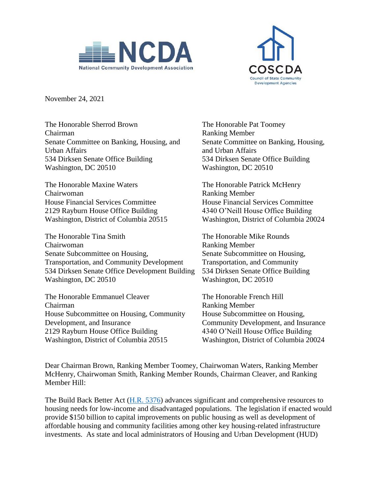



November 24, 2021

The Honorable Sherrod Brown Chairman Senate Committee on Banking, Housing, and Urban Affairs 534 Dirksen Senate Office Building Washington, DC 20510

The Honorable Maxine Waters The Honorable Patrick McHenry Chairwoman Ranking Member House Financial Services Committee House Financial Services Committee 2129 Rayburn House Office Building 4340 O'Neill House Office Building Washington, District of Columbia 20515 Washington, District of Columbia 20024

The Honorable Tina Smith The Honorable Mike Rounds Chairwoman Ranking Member Senate Subcommittee on Housing, Senate Subcommittee on Housing, Transportation, and Community Development Transportation, and Community 534 Dirksen Senate Office Development Building 534 Dirksen Senate Office Building Washington, DC 20510 Washington, DC 20510

The Honorable Emmanuel Cleaver The Honorable French Hill Chairman Ranking Member House Subcommittee on Housing, Community House Subcommittee on Housing, Development, and Insurance Community Development, and Insurance 2129 Rayburn House Office Building 4340 O'Neill House Office Building Washington, District of Columbia 20515 Washington, District of Columbia 20024

The Honorable Pat Toomey Ranking Member Senate Committee on Banking, Housing, and Urban Affairs 534 Dirksen Senate Office Building Washington, DC 20510

Dear Chairman Brown, Ranking Member Toomey, Chairwoman Waters, Ranking Member McHenry, Chairwoman Smith, Ranking Member Rounds, Chairman Cleaver, and Ranking Member Hill:

The Build Back Better Act [\(H.R. 5376\)](https://rules.house.gov/sites/democrats.rules.house.gov/files/BILLS-117HR5376RH-RCP117-18.pdf) advances significant and comprehensive resources to housing needs for low-income and disadvantaged populations. The legislation if enacted would provide \$150 billion to capital improvements on public housing as well as development of affordable housing and community facilities among other key housing-related infrastructure investments. As state and local administrators of Housing and Urban Development (HUD)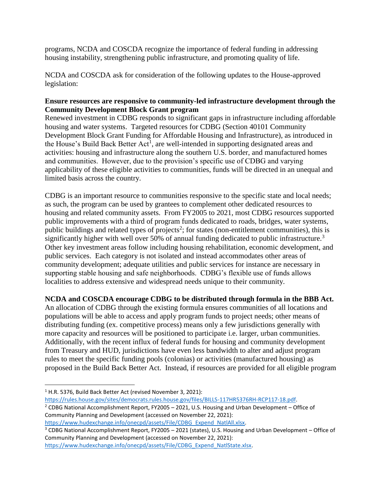programs, NCDA and COSCDA recognize the importance of federal funding in addressing housing instability, strengthening public infrastructure, and promoting quality of life.

NCDA and COSCDA ask for consideration of the following updates to the House-approved legislation:

## **Ensure resources are responsive to community-led infrastructure development through the Community Development Block Grant program**

Renewed investment in CDBG responds to significant gaps in infrastructure including affordable housing and water systems. Targeted resources for CDBG (Section 40101 Community Development Block Grant Funding for Affordable Housing and Infrastructure), as introduced in the House's Build Back Better  $Act<sup>1</sup>$ , are well-intended in supporting designated areas and activities: housing and infrastructure along the southern U.S. border, and manufactured homes and communities. However, due to the provision's specific use of CDBG and varying applicability of these eligible activities to communities, funds will be directed in an unequal and limited basis across the country.

CDBG is an important resource to communities responsive to the specific state and local needs; as such, the program can be used by grantees to complement other dedicated resources to housing and related community assets. From FY2005 to 2021, most CDBG resources supported public improvements with a third of program funds dedicated to roads, bridges, water systems, public buildings and related types of projects<sup>2</sup>; for states (non-entitlement communities), this is significantly higher with well over 50% of annual funding dedicated to public infrastructure.<sup>3</sup> Other key investment areas follow including housing rehabilitation, economic development, and public services. Each category is not isolated and instead accommodates other areas of community development; adequate utilities and public services for instance are necessary in supporting stable housing and safe neighborhoods. CDBG's flexible use of funds allows localities to address extensive and widespread needs unique to their community.

**NCDA and COSCDA encourage CDBG to be distributed through formula in the BBB Act.** 

An allocation of CDBG through the existing formula ensures communities of all locations and populations will be able to access and apply program funds to project needs; other means of distributing funding (ex. competitive process) means only a few jurisdictions generally with more capacity and resources will be positioned to participate i.e. larger, urban communities. Additionally, with the recent influx of federal funds for housing and community development from Treasury and HUD, jurisdictions have even less bandwidth to alter and adjust program rules to meet the specific funding pools (colonias) or activities (manufactured housing) as proposed in the Build Back Better Act. Instead, if resources are provided for all eligible program

 $\overline{\phantom{a}}$ 

Community Planning and Development (accessed on November 22, 2021):

[https://www.hudexchange.info/onecpd/assets/File/CDBG\\_Expend\\_NatlAll.xlsx.](https://www.hudexchange.info/onecpd/assets/File/CDBG_Expend_NatlAll.xlsx)

<sup>3</sup> CDBG National Accomplishment Report, FY2005 – 2021 (states), U.S. Housing and Urban Development – Office of Community Planning and Development (accessed on November 22, 2021): [https://www.hudexchange.info/onecpd/assets/File/CDBG\\_Expend\\_NatlState.xlsx.](https://www.hudexchange.info/onecpd/assets/File/CDBG_Expend_NatlState.xlsx) 

<sup>&</sup>lt;sup>1</sup> H.R. 5376, Build Back Better Act (revised November 3, 2021):

[https://rules.house.gov/sites/democrats.rules.house.gov/files/BILLS-117HR5376RH-RCP117-18.pdf.](https://rules.house.gov/sites/democrats.rules.house.gov/files/BILLS-117HR5376RH-RCP117-18.pdf)  <sup>2</sup> CDBG National Accomplishment Report, FY2005 – 2021, U.S. Housing and Urban Development – Office of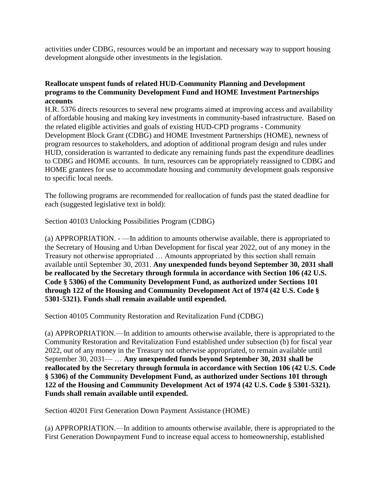activities under CDBG, resources would be an important and necessary way to support housing development alongside other investments in the legislation.

## **Reallocate unspent funds of related HUD-Community Planning and Development programs to the Community Development Fund and HOME Investment Partnerships accounts**

H.R. 5376 directs resources to several new programs aimed at improving access and availability of affordable housing and making key investments in community-based infrastructure. Based on the related eligible activities and goals of existing HUD-CPD programs - Community Development Block Grant (CDBG) and HOME Investment Partnerships (HOME), newness of program resources to stakeholders, and adoption of additional program design and rules under HUD, consideration is warranted to dedicate any remaining funds past the expenditure deadlines to CDBG and HOME accounts. In turn, resources can be appropriately reassigned to CDBG and HOME grantees for use to accommodate housing and community development goals responsive to specific local needs.

The following programs are recommended for reallocation of funds past the stated deadline for each (suggested legislative text in bold):

Section 40103 Unlocking Possibilities Program (CDBG)

(a) APPROPRIATION. - —In addition to amounts otherwise available, there is appropriated to the Secretary of Housing and Urban Development for fiscal year 2022, out of any money in the Treasury not otherwise appropriated … Amounts appropriated by this section shall remain available until September 30, 2031. **Any unexpended funds beyond September 30, 2031 shall be reallocated by the Secretary through formula in accordance with Section 106 (42 U.S. Code § 5306) of the Community Development Fund, as authorized under Sections 101 through 122 of the Housing and Community Development Act of 1974 (42 U.S. Code § 5301-5321). Funds shall remain available until expended.**

Section 40105 Community Restoration and Revitalization Fund (CDBG)

(a) APPROPRIATION.—In addition to amounts otherwise available, there is appropriated to the Community Restoration and Revitalization Fund established under subsection (b) for fiscal year 2022, out of any money in the Treasury not otherwise appropriated, to remain available until September 30, 2031— … **Any unexpended funds beyond September 30, 2031 shall be reallocated by the Secretary through formula in accordance with Section 106 (42 U.S. Code § 5306) of the Community Development Fund, as authorized under Sections 101 through 122 of the Housing and Community Development Act of 1974 (42 U.S. Code § 5301-5321). Funds shall remain available until expended.**

Section 40201 First Generation Down Payment Assistance (HOME)

(a) APPROPRIATION.—In addition to amounts otherwise available, there is appropriated to the First Generation Downpayment Fund to increase equal access to homeownership, established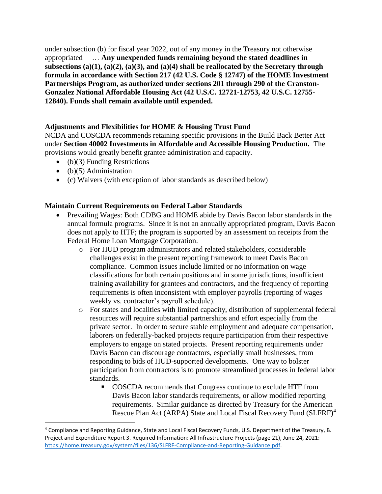under subsection (b) for fiscal year 2022, out of any money in the Treasury not otherwise appropriated— … **Any unexpended funds remaining beyond the stated deadlines in subsections (a)(1), (a)(2), (a)(3), and (a)(4) shall be reallocated by the Secretary through formula in accordance with Section 217 (42 U.S. Code § 12747) of the HOME Investment Partnerships Program, as authorized under sections 201 through 290 of the Cranston-Gonzalez National Affordable Housing Act (42 U.S.C. 12721-12753, 42 U.S.C. 12755- 12840). Funds shall remain available until expended.**

# **Adjustments and Flexibilities for HOME & Housing Trust Fund**

NCDA and COSCDA recommends retaining specific provisions in the Build Back Better Act under **Section 40002 Investments in Affordable and Accessible Housing Production.** The provisions would greatly benefit grantee administration and capacity.

- $\bullet$  (b)(3) Funding Restrictions
- $\bullet$  (b)(5) Administration

 $\overline{\phantom{a}}$ 

(c) Waivers (with exception of labor standards as described below)

## **Maintain Current Requirements on Federal Labor Standards**

- Prevailing Wages: Both CDBG and HOME abide by Davis Bacon labor standards in the annual formula programs. Since it is not an annually appropriated program, Davis Bacon does not apply to HTF; the program is supported by an assessment on receipts from the Federal Home Loan Mortgage Corporation.
	- o For HUD program administrators and related stakeholders, considerable challenges exist in the present reporting framework to meet Davis Bacon compliance. Common issues include limited or no information on wage classifications for both certain positions and in some jurisdictions, insufficient training availability for grantees and contractors, and the frequency of reporting requirements is often inconsistent with employer payrolls (reporting of wages weekly vs. contractor's payroll schedule).
	- o For states and localities with limited capacity, distribution of supplemental federal resources will require substantial partnerships and effort especially from the private sector. In order to secure stable employment and adequate compensation, laborers on federally-backed projects require participation from their respective employers to engage on stated projects. Present reporting requirements under Davis Bacon can discourage contractors, especially small businesses, from responding to bids of HUD-supported developments. One way to bolster participation from contractors is to promote streamlined processes in federal labor standards.
		- COSCDA recommends that Congress continue to exclude HTF from Davis Bacon labor standards requirements, or allow modified reporting requirements. Similar guidance as directed by Treasury for the American Rescue Plan Act (ARPA) State and Local Fiscal Recovery Fund (SLFRF)<sup>4</sup>

<sup>4</sup> Compliance and Reporting Guidance, State and Local Fiscal Recovery Funds, U.S. Department of the Treasury, B. Project and Expenditure Report 3. Required Information: All Infrastructure Projects (page 21), June 24, 2021: [https://home.treasury.gov/system/files/136/SLFRF-Compliance-and-Reporting-Guidance.pdf.](https://home.treasury.gov/system/files/136/SLFRF-Compliance-and-Reporting-Guidance.pdf)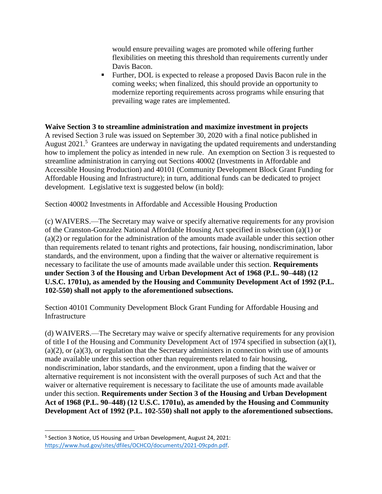would ensure prevailing wages are promoted while offering further flexibilities on meeting this threshold than requirements currently under Davis Bacon.

 Further, DOL is expected to release a proposed Davis Bacon rule in the coming weeks; when finalized, this should provide an opportunity to modernize reporting requirements across programs while ensuring that prevailing wage rates are implemented.

#### **Waive Section 3 to streamline administration and maximize investment in projects**

A revised Section 3 rule was issued on September 30, 2020 with a final notice published in August 2021.<sup>5</sup> Grantees are underway in navigating the updated requirements and understanding how to implement the policy as intended in new rule. An exemption on Section 3 is requested to streamline administration in carrying out Sections 40002 (Investments in Affordable and Accessible Housing Production) and 40101 (Community Development Block Grant Funding for Affordable Housing and Infrastructure); in turn, additional funds can be dedicated to project development. Legislative text is suggested below (in bold):

Section 40002 Investments in Affordable and Accessible Housing Production

(c) WAIVERS.—The Secretary may waive or specify alternative requirements for any provision of the Cranston-Gonzalez National Affordable Housing Act specified in subsection (a)(1) or (a)(2) or regulation for the administration of the amounts made available under this section other than requirements related to tenant rights and protections, fair housing, nondiscrimination, labor standards, and the environment, upon a finding that the waiver or alternative requirement is necessary to facilitate the use of amounts made available under this section. **Requirements under Section 3 of the Housing and Urban Development Act of 1968 (P.L. 90–448) (12 U.S.C. 1701u), as amended by the Housing and Community Development Act of 1992 (P.L. 102-550) shall not apply to the aforementioned subsections.** 

Section 40101 Community Development Block Grant Funding for Affordable Housing and Infrastructure

(d) WAIVERS.—The Secretary may waive or specify alternative requirements for any provision of title I of the Housing and Community Development Act of 1974 specified in subsection (a)(1),  $(a)(2)$ , or  $(a)(3)$ , or regulation that the Secretary administers in connection with use of amounts made available under this section other than requirements related to fair housing, nondiscrimination, labor standards, and the environment, upon a finding that the waiver or alternative requirement is not inconsistent with the overall purposes of such Act and that the waiver or alternative requirement is necessary to facilitate the use of amounts made available under this section. **Requirements under Section 3 of the Housing and Urban Development Act of 1968 (P.L. 90–448) (12 U.S.C. 1701u), as amended by the Housing and Community Development Act of 1992 (P.L. 102-550) shall not apply to the aforementioned subsections.**

l

<sup>&</sup>lt;sup>5</sup> Section 3 Notice, US Housing and Urban Development, August 24, 2021: [https://www.hud.gov/sites/dfiles/OCHCO/documents/2021-09cpdn.pdf.](https://www.hud.gov/sites/dfiles/OCHCO/documents/2021-09cpdn.pdf)